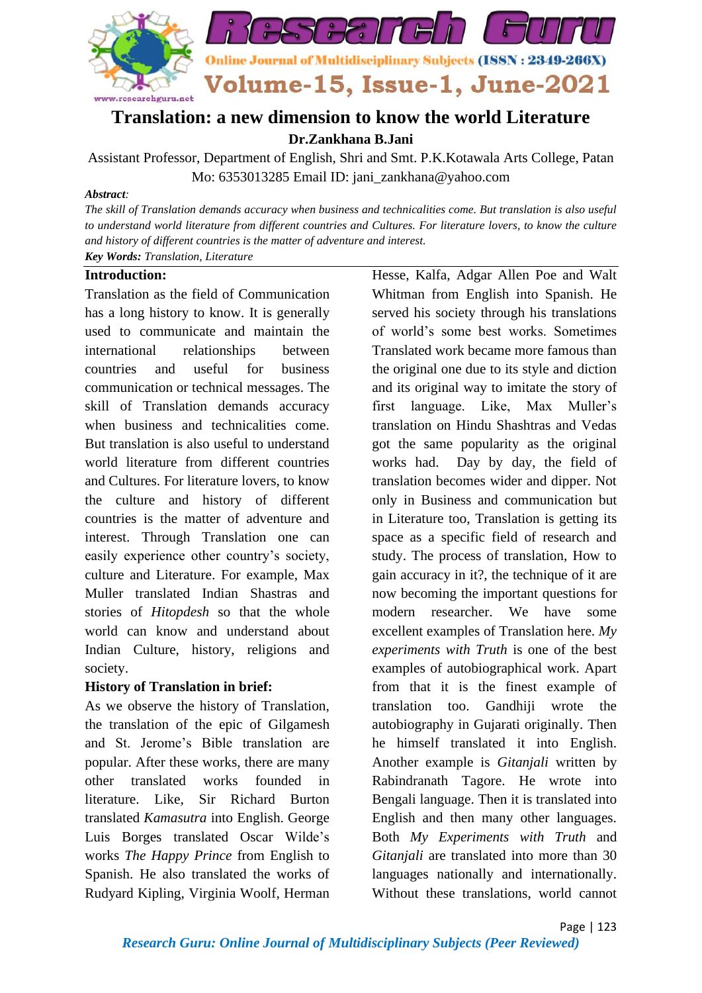

# **Translation: a new dimension to know the world Literature**

**Dr.Zankhana B.Jani**

Assistant Professor, Department of English, Shri and Smt. P.K.Kotawala Arts College, Patan Mo: 6353013285 Email ID: jani\_zankhana@yahoo.com

#### *Abstract:*

*The skill of Translation demands accuracy when business and technicalities come. But translation is also useful to understand world literature from different countries and Cultures. For literature lovers, to know the culture and history of different countries is the matter of adventure and interest. Key Words: Translation, Literature*

## **Introduction:**

Translation as the field of Communication has a long history to know. It is generally used to communicate and maintain the international relationships between countries and useful for business communication or technical messages. The skill of Translation demands accuracy when business and technicalities come. But translation is also useful to understand world literature from different countries and Cultures. For literature lovers, to know the culture and history of different countries is the matter of adventure and interest. Through Translation one can easily experience other country's society, culture and Literature. For example, Max Muller translated Indian Shastras and stories of *Hitopdesh* so that the whole world can know and understand about Indian Culture, history, religions and society.

## **History of Translation in brief:**

As we observe the history of Translation, the translation of the epic of Gilgamesh and St. Jerome's Bible translation are popular. After these works, there are many other translated works founded in literature. Like, Sir Richard Burton translated *Kamasutra* into English. George Luis Borges translated Oscar Wilde's works *The Happy Prince* from English to Spanish. He also translated the works of Rudyard Kipling, Virginia Woolf, Herman

Hesse, Kalfa, Adgar Allen Poe and Walt Whitman from English into Spanish. He served his society through his translations of world's some best works. Sometimes Translated work became more famous than the original one due to its style and diction and its original way to imitate the story of first language. Like, Max Muller's translation on Hindu Shashtras and Vedas got the same popularity as the original works had. Day by day, the field of translation becomes wider and dipper. Not only in Business and communication but in Literature too, Translation is getting its space as a specific field of research and study. The process of translation, How to gain accuracy in it?, the technique of it are now becoming the important questions for modern researcher. We have some excellent examples of Translation here. *My experiments with Truth* is one of the best examples of autobiographical work. Apart from that it is the finest example of translation too. Gandhiji wrote the autobiography in Gujarati originally. Then he himself translated it into English. Another example is *Gitanjali* written by Rabindranath Tagore. He wrote into Bengali language. Then it is translated into English and then many other languages. Both *My Experiments with Truth* and *Gitanjali* are translated into more than 30 languages nationally and internationally. Without these translations, world cannot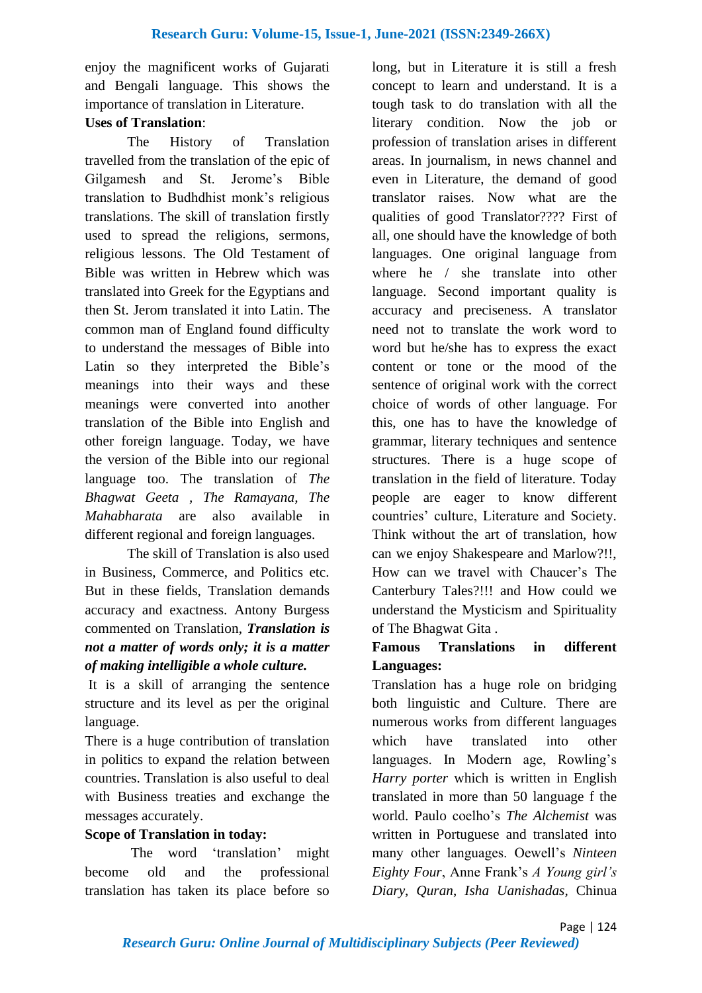enjoy the magnificent works of Gujarati and Bengali language. This shows the importance of translation in Literature.

## **Uses of Translation**:

The History of Translation travelled from the translation of the epic of Gilgamesh and St. Jerome's Bible translation to Budhdhist monk's religious translations. The skill of translation firstly used to spread the religions, sermons, religious lessons. The Old Testament of Bible was written in Hebrew which was translated into Greek for the Egyptians and then St. Jerom translated it into Latin. The common man of England found difficulty to understand the messages of Bible into Latin so they interpreted the Bible's meanings into their ways and these meanings were converted into another translation of the Bible into English and other foreign language. Today, we have the version of the Bible into our regional language too. The translation of *The Bhagwat Geeta , The Ramayana, The Mahabharata* are also available in different regional and foreign languages.

The skill of Translation is also used in Business, Commerce, and Politics etc. But in these fields, Translation demands accuracy and exactness. Antony Burgess commented on Translation, *Translation is not a matter of words only; it is a matter of making intelligible a whole culture.*

It is a skill of arranging the sentence structure and its level as per the original language.

There is a huge contribution of translation in politics to expand the relation between countries. Translation is also useful to deal with Business treaties and exchange the messages accurately.

## **Scope of Translation in today:**

The word 'translation' might become old and the professional translation has taken its place before so

long, but in Literature it is still a fresh concept to learn and understand. It is a tough task to do translation with all the literary condition. Now the job or profession of translation arises in different areas. In journalism, in news channel and even in Literature, the demand of good translator raises. Now what are the qualities of good Translator???? First of all, one should have the knowledge of both languages. One original language from where he / she translate into other language. Second important quality is accuracy and preciseness. A translator need not to translate the work word to word but he/she has to express the exact content or tone or the mood of the sentence of original work with the correct choice of words of other language. For this, one has to have the knowledge of grammar, literary techniques and sentence structures. There is a huge scope of translation in the field of literature. Today people are eager to know different countries' culture, Literature and Society. Think without the art of translation, how can we enjoy Shakespeare and Marlow?!!, How can we travel with Chaucer's The Canterbury Tales?!!! and How could we understand the Mysticism and Spirituality of The Bhagwat Gita .

## **Famous Translations in different Languages:**

Translation has a huge role on bridging both linguistic and Culture. There are numerous works from different languages which have translated into other languages. In Modern age, Rowling's *Harry porter* which is written in English translated in more than 50 language f the world. Paulo coelho's *The Alchemist* was written in Portuguese and translated into many other languages. Oewell's *Ninteen Eighty Four*, Anne Frank's *A Young girl's Diary*, *Quran*, *Isha Uanishadas,* Chinua